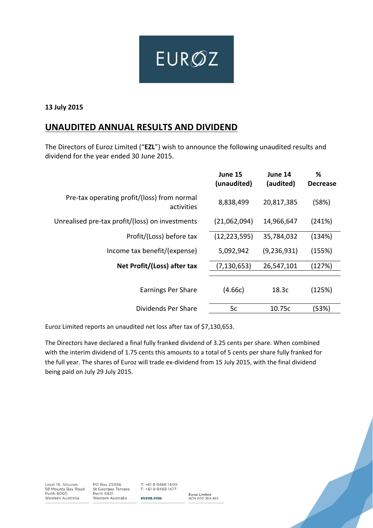

**13 July 2015**

# **UNAUDITED ANNUAL RESULTS AND DIVIDEND**

The Directors of Euroz Limited ("**EZL**") wish to announce the following unaudited results and dividend for the year ended 30 June 2015.

|                                                           | June 15<br>(unaudited) | June 14<br>(audited) | %<br><b>Decrease</b> |
|-----------------------------------------------------------|------------------------|----------------------|----------------------|
| Pre-tax operating profit/(loss) from normal<br>activities | 8,838,499              | 20,817,385           | (58%)                |
| Unrealised pre-tax profit/(loss) on investments           | (21,062,094)           | 14,966,647           | (241%)               |
| Profit/(Loss) before tax                                  | (12, 223, 595)         | 35,784,032           | (134%)               |
| Income tax benefit/(expense)                              | 5,092,942              | (9, 236, 931)        | (155%)               |
| Net Profit/(Loss) after tax                               | (7, 130, 653)          | 26,547,101           | (127%)               |
| <b>Earnings Per Share</b>                                 | (4.66c)                | 18.3c                | (125%)               |
| Dividends Per Share                                       | 5c                     | 10.75c               | (53%)                |
|                                                           |                        |                      |                      |

Euroz Limited reports an unaudited net loss after tax of \$7,130,653.

The Directors have declared a final fully franked dividend of 3.25 cents per share. When combined with the interim dividend of 1.75 cents this amounts to a total of 5 cents per share fully franked for the full year. The shares of Euroz will trade ex-dividend from 15 July 2015, with the final dividend being paid on July 29 July 2015.

Level 18, Alluvion 58 Mounts Bay Road<br>Perth 6000 Western Australia

PO Box Z5036 St Georges Terrace<br>Perth 6831 Western Australia

T: +61 8 9488 1400 F: +61 8 9488 1477 euroz.com

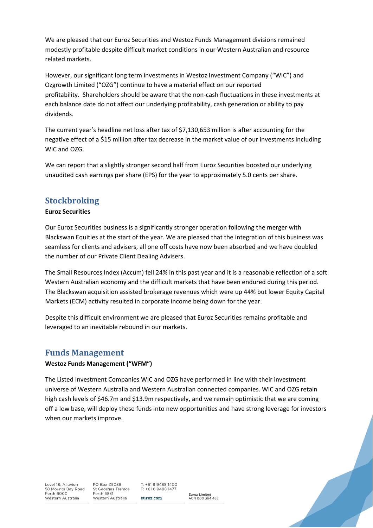We are pleased that our Euroz Securities and Westoz Funds Management divisions remained modestly profitable despite difficult market conditions in our Western Australian and resource related markets.

However, our significant long term investments in Westoz Investment Company ("WIC") and Ozgrowth Limited ("OZG") continue to have a material effect on our reported profitability. Shareholders should be aware that the non‐cash fluctuations in these investments at each balance date do not affect our underlying profitability, cash generation or ability to pay dividends.

The current year's headline net loss after tax of \$7,130,653 million is after accounting for the negative effect of a \$15 million after tax decrease in the market value of our investments including WIC and OZG.

We can report that a slightly stronger second half from Euroz Securities boosted our underlying unaudited cash earnings per share (EPS) for the year to approximately 5.0 cents per share.

## **Stockbroking**

### **Euroz Securities**

Our Euroz Securities business is a significantly stronger operation following the merger with Blackswan Equities at the start of the year. We are pleased that the integration of this business was seamless for clients and advisers, all one off costs have now been absorbed and we have doubled the number of our Private Client Dealing Advisers.

The Small Resources Index (Accum) fell 24% in this past year and it is a reasonable reflection of a soft Western Australian economy and the difficult markets that have been endured during this period. The Blackswan acquisition assisted brokerage revenues which were up 44% but lower Equity Capital Markets (ECM) activity resulted in corporate income being down for the year.

Despite this difficult environment we are pleased that Euroz Securities remains profitable and leveraged to an inevitable rebound in our markets.

## **Funds Management**

### **Westoz Funds Management ("WFM")**

The Listed Investment Companies WIC and OZG have performed in line with their investment universe of Western Australia and Western Australian connected companies. WIC and OZG retain high cash levels of \$46.7m and \$13.9m respectively, and we remain optimistic that we are coming off a low base, will deploy these funds into new opportunities and have strong leverage for investors when our markets improve.

Level 18, Alluvion 58 Mounts Bay Road<br>Perth 6000 Western Australia

PO Box Z5036 St Georges Terrace Perth 6831 Western Australia

 $T: +61894881400$ F: +61 8 9488 1477 euroz.com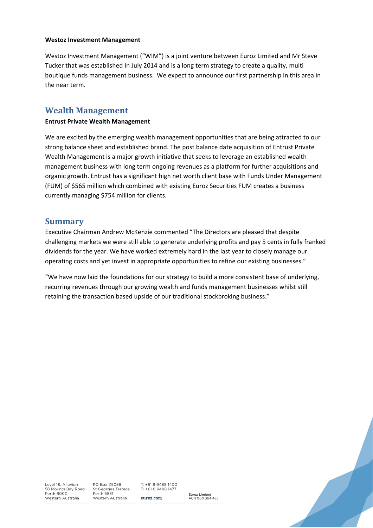#### **Westoz Investment Management**

Westoz Investment Management ("WIM") is a joint venture between Euroz Limited and Mr Steve Tucker that was established In July 2014 and is a long term strategy to create a quality, multi boutique funds management business. We expect to announce our first partnership in this area in the near term.

## **Wealth Management**

#### **Entrust Private Wealth Management**

We are excited by the emerging wealth management opportunities that are being attracted to our strong balance sheet and established brand. The post balance date acquisition of Entrust Private Wealth Management is a major growth initiative that seeks to leverage an established wealth management business with long term ongoing revenues as a platform for further acquisitions and organic growth. Entrust has a significant high net worth client base with Funds Under Management (FUM) of \$565 million which combined with existing Euroz Securities FUM creates a business currently managing \$754 million for clients.

### **Summary**

Executive Chairman Andrew McKenzie commented "The Directors are pleased that despite challenging markets we were still able to generate underlying profits and pay 5 cents in fully franked dividends for the year. We have worked extremely hard in the last year to closely manage our operating costs and yet invest in appropriate opportunities to refine our existing businesses."

"We have now laid the foundations for our strategy to build a more consistent base of underlying, recurring revenues through our growing wealth and funds management businesses whilst still retaining the transaction based upside of our traditional stockbroking business."

Level 18, Alluvion 58 Mounts Bay Road<br>Perth 6000 Western Australia

PO Box Z5036 St Georges Terrace<br>Perth 6831 Western Australia

 $T: +61894881400$ F: +61 8 9488 1477 euroz.com